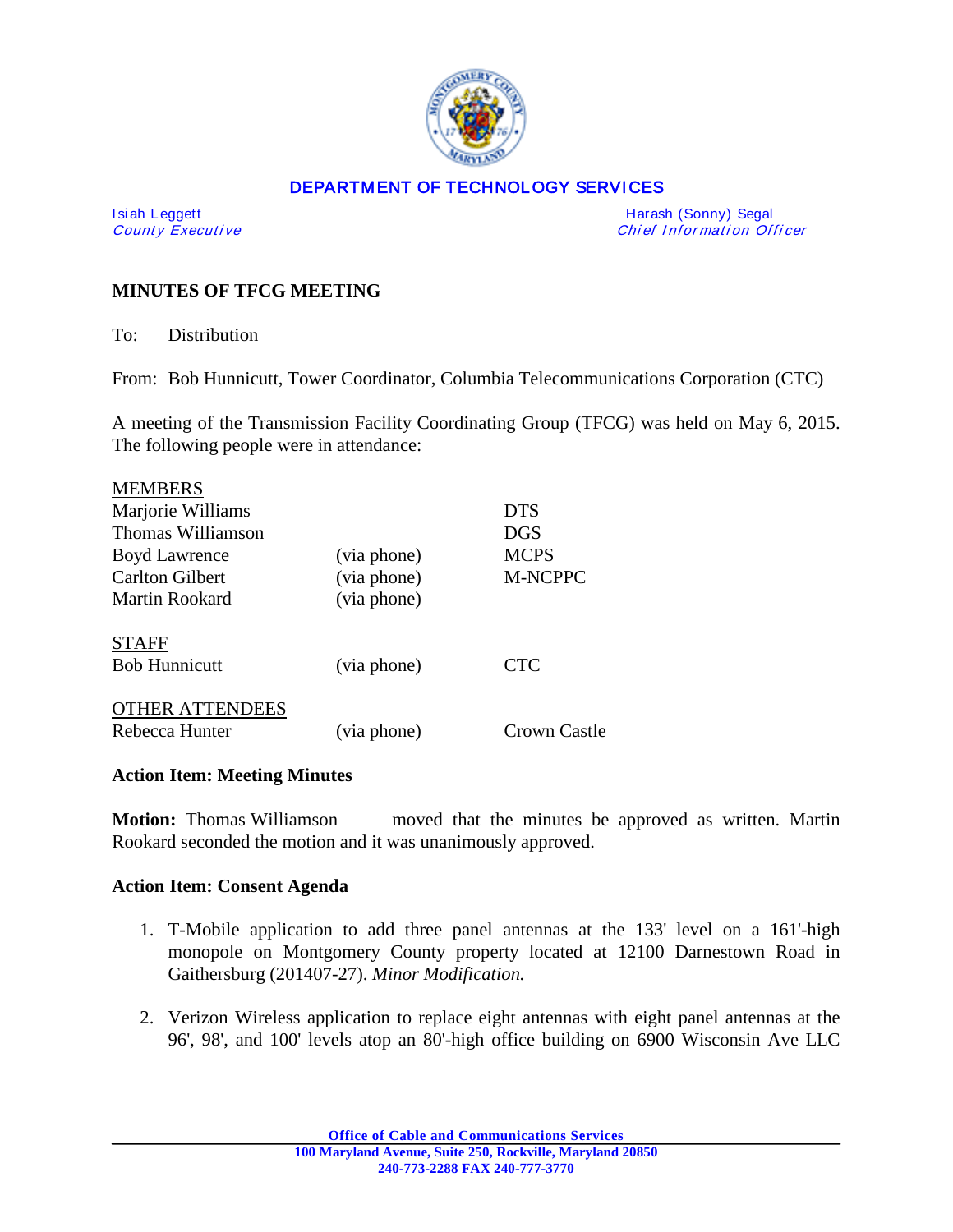

## DEPARTMENT OF TECHNOLOGY SERVICES

Isiah Leggett **Harash (Sonny) Segal** County Executive **Harash (Sonny) Segal** County Executive **Harash (Sonny) Segal** Chief Information Officer

# **MINUTES OF TFCG MEETING**

To: Distribution

From: Bob Hunnicutt, Tower Coordinator, Columbia Telecommunications Corporation (CTC)

A meeting of the Transmission Facility Coordinating Group (TFCG) was held on May 6, 2015. The following people were in attendance:

| <b>MEMBERS</b>         |             |              |
|------------------------|-------------|--------------|
| Marjorie Williams      |             | <b>DTS</b>   |
| Thomas Williamson      |             | <b>DGS</b>   |
| <b>Boyd Lawrence</b>   | (via phone) | <b>MCPS</b>  |
| <b>Carlton Gilbert</b> | (via phone) | M-NCPPC      |
| Martin Rookard         | (via phone) |              |
| <b>STAFF</b>           |             |              |
| <b>Bob Hunnicutt</b>   | (via phone) | <b>CTC</b>   |
| <b>OTHER ATTENDEES</b> |             |              |
| Rebecca Hunter         | (via phone) | Crown Castle |

## **Action Item: Meeting Minutes**

**Motion:** Thomas Williamson moved that the minutes be approved as written. Martin Rookard seconded the motion and it was unanimously approved.

### **Action Item: Consent Agenda**

- 1. T-Mobile application to add three panel antennas at the 133' level on a 161'-high monopole on Montgomery County property located at 12100 Darnestown Road in Gaithersburg (201407-27). *Minor Modification.*
- 2. Verizon Wireless application to replace eight antennas with eight panel antennas at the 96', 98', and 100' levels atop an 80'-high office building on 6900 Wisconsin Ave LLC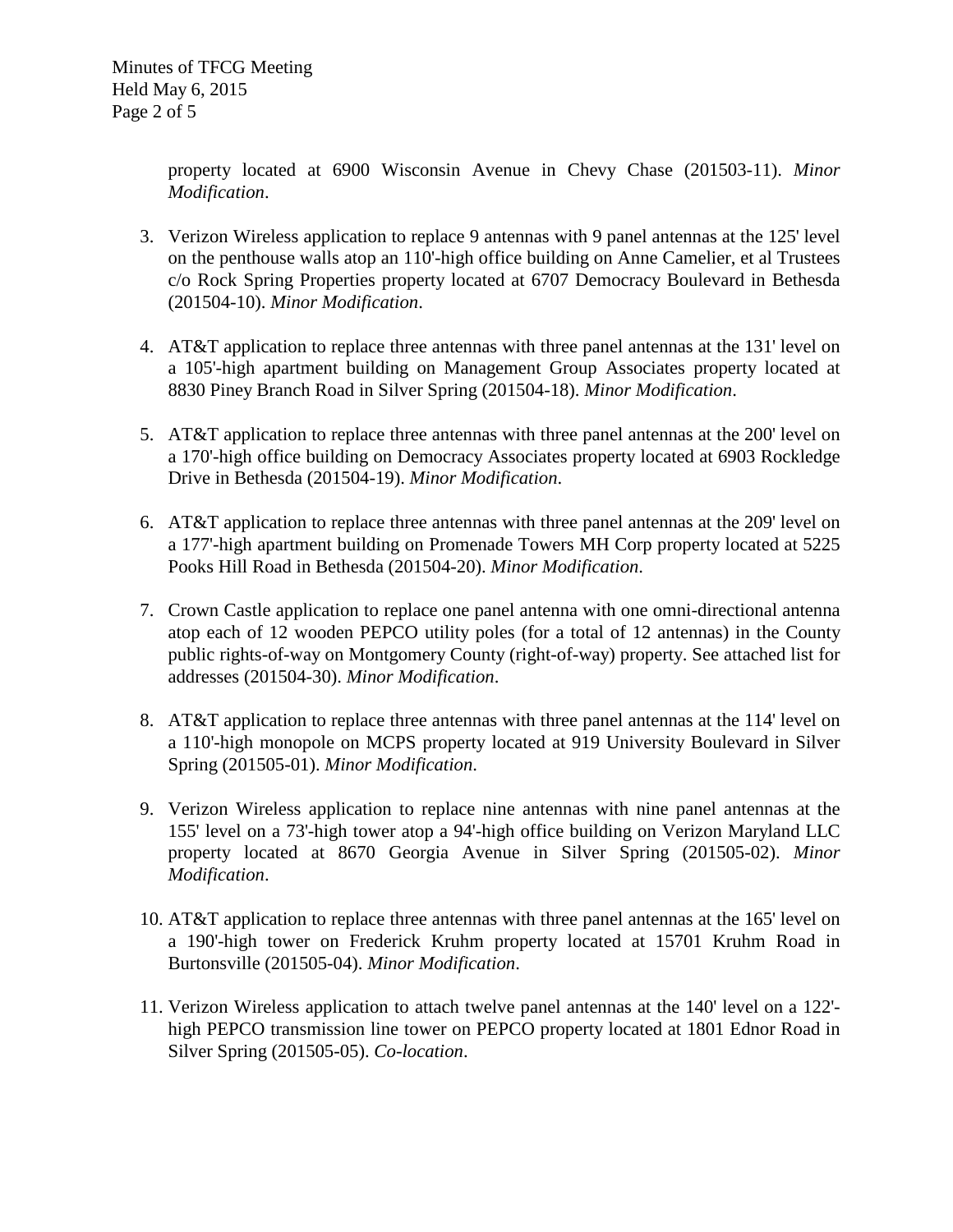property located at 6900 Wisconsin Avenue in Chevy Chase (201503-11). *Minor Modification*.

- 3. Verizon Wireless application to replace 9 antennas with 9 panel antennas at the 125' level on the penthouse walls atop an 110'-high office building on Anne Camelier, et al Trustees c/o Rock Spring Properties property located at 6707 Democracy Boulevard in Bethesda (201504-10). *Minor Modification*.
- 4. AT&T application to replace three antennas with three panel antennas at the 131' level on a 105'-high apartment building on Management Group Associates property located at 8830 Piney Branch Road in Silver Spring (201504-18). *Minor Modification*.
- 5. AT&T application to replace three antennas with three panel antennas at the 200' level on a 170'-high office building on Democracy Associates property located at 6903 Rockledge Drive in Bethesda (201504-19). *Minor Modification*.
- 6. AT&T application to replace three antennas with three panel antennas at the 209' level on a 177'-high apartment building on Promenade Towers MH Corp property located at 5225 Pooks Hill Road in Bethesda (201504-20). *Minor Modification*.
- 7. Crown Castle application to replace one panel antenna with one omni-directional antenna atop each of 12 wooden PEPCO utility poles (for a total of 12 antennas) in the County public rights-of-way on Montgomery County (right-of-way) property. See attached list for addresses (201504-30). *Minor Modification*.
- 8. AT&T application to replace three antennas with three panel antennas at the 114' level on a 110'-high monopole on MCPS property located at 919 University Boulevard in Silver Spring (201505-01). *Minor Modification*.
- 9. Verizon Wireless application to replace nine antennas with nine panel antennas at the 155' level on a 73'-high tower atop a 94'-high office building on Verizon Maryland LLC property located at 8670 Georgia Avenue in Silver Spring (201505-02). *Minor Modification*.
- 10. AT&T application to replace three antennas with three panel antennas at the 165' level on a 190'-high tower on Frederick Kruhm property located at 15701 Kruhm Road in Burtonsville (201505-04). *Minor Modification*.
- 11. Verizon Wireless application to attach twelve panel antennas at the 140' level on a 122' high PEPCO transmission line tower on PEPCO property located at 1801 Ednor Road in Silver Spring (201505-05). *Co-location*.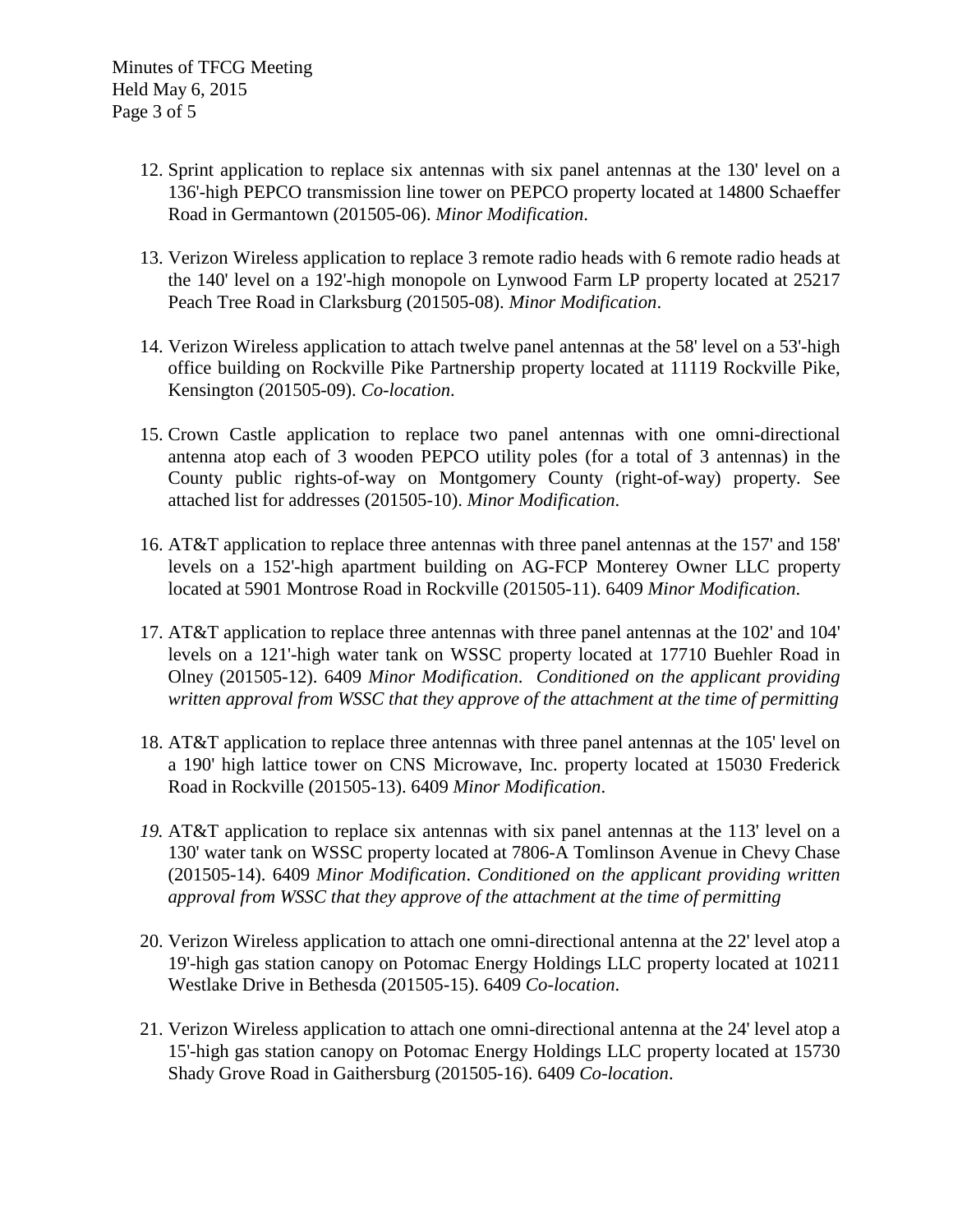- 12. Sprint application to replace six antennas with six panel antennas at the 130' level on a 136'-high PEPCO transmission line tower on PEPCO property located at 14800 Schaeffer Road in Germantown (201505-06). *Minor Modification*.
- 13. Verizon Wireless application to replace 3 remote radio heads with 6 remote radio heads at the 140' level on a 192'-high monopole on Lynwood Farm LP property located at 25217 Peach Tree Road in Clarksburg (201505-08). *Minor Modification*.
- 14. Verizon Wireless application to attach twelve panel antennas at the 58' level on a 53'-high office building on Rockville Pike Partnership property located at 11119 Rockville Pike, Kensington (201505-09). *Co-location*.
- 15. Crown Castle application to replace two panel antennas with one omni-directional antenna atop each of 3 wooden PEPCO utility poles (for a total of 3 antennas) in the County public rights-of-way on Montgomery County (right-of-way) property. See attached list for addresses (201505-10). *Minor Modification*.
- 16. AT&T application to replace three antennas with three panel antennas at the 157' and 158' levels on a 152'-high apartment building on AG-FCP Monterey Owner LLC property located at 5901 Montrose Road in Rockville (201505-11). 6409 *Minor Modification*.
- 17. AT&T application to replace three antennas with three panel antennas at the 102' and 104' levels on a 121'-high water tank on WSSC property located at 17710 Buehler Road in Olney (201505-12). 6409 *Minor Modification*. *Conditioned on the applicant providing written approval from WSSC that they approve of the attachment at the time of permitting*
- 18. AT&T application to replace three antennas with three panel antennas at the 105' level on a 190' high lattice tower on CNS Microwave, Inc. property located at 15030 Frederick Road in Rockville (201505-13). 6409 *Minor Modification*.
- *19.* AT&T application to replace six antennas with six panel antennas at the 113' level on a 130' water tank on WSSC property located at 7806-A Tomlinson Avenue in Chevy Chase (201505-14). 6409 *Minor Modification*. *Conditioned on the applicant providing written approval from WSSC that they approve of the attachment at the time of permitting*
- 20. Verizon Wireless application to attach one omni-directional antenna at the 22' level atop a 19'-high gas station canopy on Potomac Energy Holdings LLC property located at 10211 Westlake Drive in Bethesda (201505-15). 6409 *Co-location*.
- 21. Verizon Wireless application to attach one omni-directional antenna at the 24' level atop a 15'-high gas station canopy on Potomac Energy Holdings LLC property located at 15730 Shady Grove Road in Gaithersburg (201505-16). 6409 *Co-location*.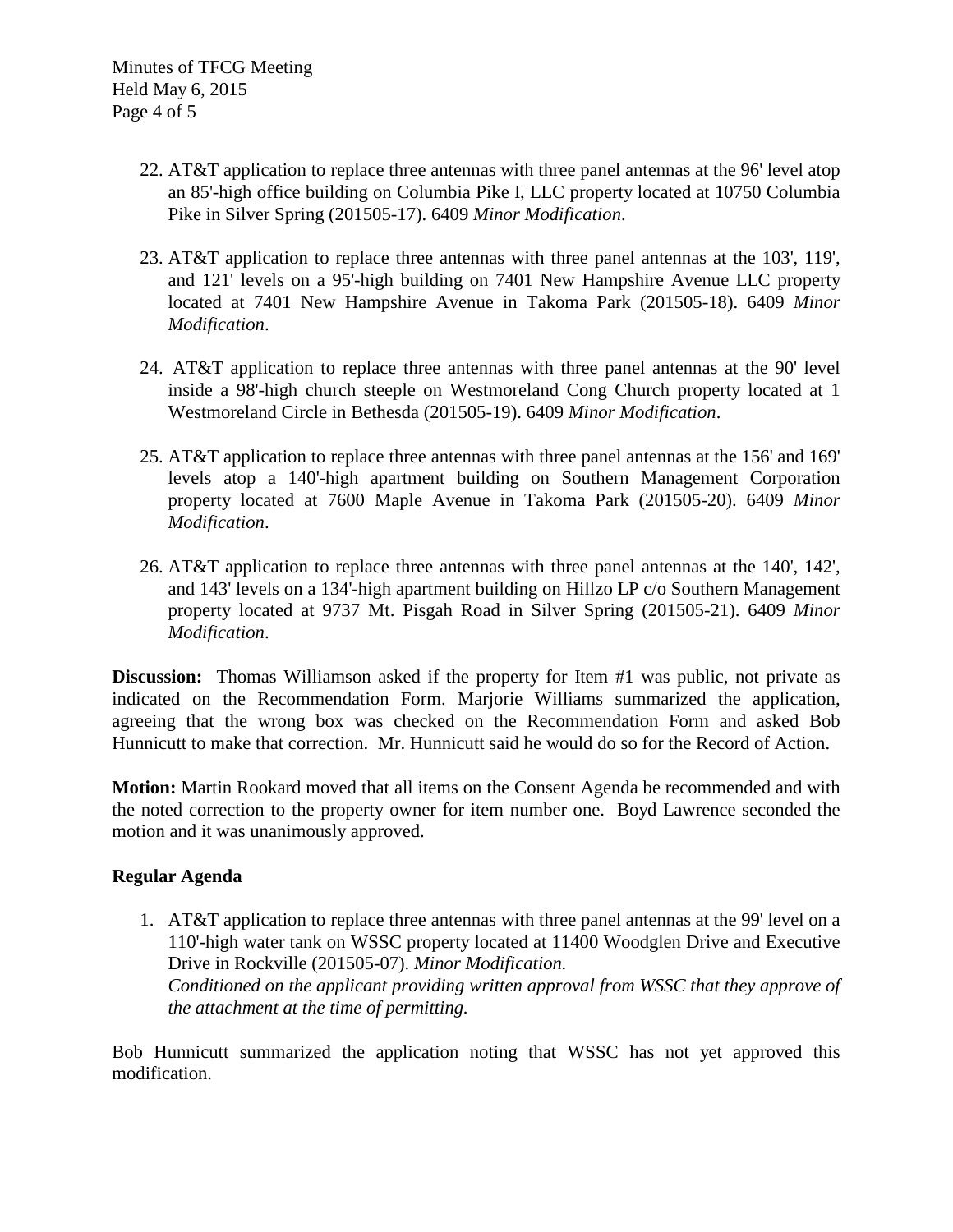- 22. AT&T application to replace three antennas with three panel antennas at the 96' level atop an 85'-high office building on Columbia Pike I, LLC property located at 10750 Columbia Pike in Silver Spring (201505-17). 6409 *Minor Modification*.
- 23. AT&T application to replace three antennas with three panel antennas at the 103', 119', and 121' levels on a 95'-high building on 7401 New Hampshire Avenue LLC property located at 7401 New Hampshire Avenue in Takoma Park (201505-18). 6409 *Minor Modification*.
- 24. AT&T application to replace three antennas with three panel antennas at the 90' level inside a 98'-high church steeple on Westmoreland Cong Church property located at 1 Westmoreland Circle in Bethesda (201505-19). 6409 *Minor Modification*.
- 25. AT&T application to replace three antennas with three panel antennas at the 156' and 169' levels atop a 140'-high apartment building on Southern Management Corporation property located at 7600 Maple Avenue in Takoma Park (201505-20). 6409 *Minor Modification*.
- 26. AT&T application to replace three antennas with three panel antennas at the 140', 142', and 143' levels on a 134'-high apartment building on Hillzo LP c/o Southern Management property located at 9737 Mt. Pisgah Road in Silver Spring (201505-21). 6409 *Minor Modification*.

**Discussion:** Thomas Williamson asked if the property for Item #1 was public, not private as indicated on the Recommendation Form. Marjorie Williams summarized the application, agreeing that the wrong box was checked on the Recommendation Form and asked Bob Hunnicutt to make that correction. Mr. Hunnicutt said he would do so for the Record of Action.

**Motion:** Martin Rookard moved that all items on the Consent Agenda be recommended and with the noted correction to the property owner for item number one. Boyd Lawrence seconded the motion and it was unanimously approved.

# **Regular Agenda**

1. AT&T application to replace three antennas with three panel antennas at the 99' level on a 110'-high water tank on WSSC property located at 11400 Woodglen Drive and Executive Drive in Rockville (201505-07). *Minor Modification. Conditioned on the applicant providing written approval from WSSC that they approve of the attachment at the time of permitting.*

Bob Hunnicutt summarized the application noting that WSSC has not yet approved this modification.